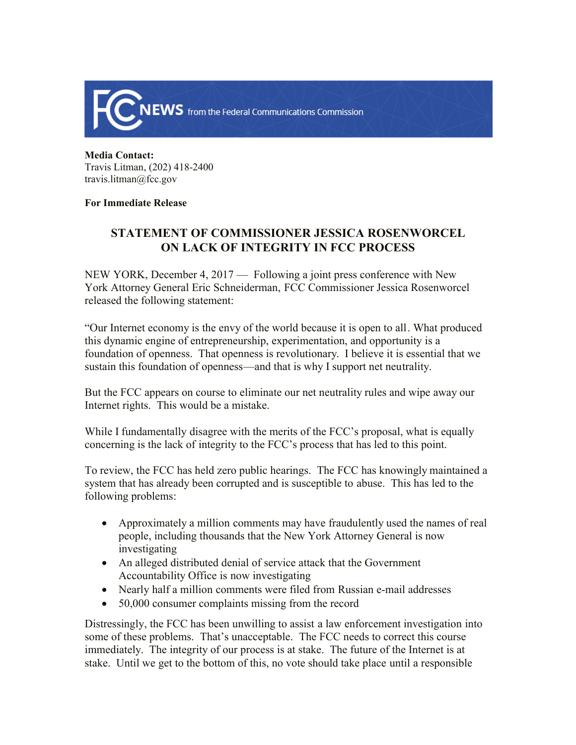

**Media Contact:**  Travis Litman, (202) 418-2400 travis.litman@fcc.gov

## **For Immediate Release**

## **STATEMENT OF COMMISSIONER JESSICA ROSENWORCEL ON LACK OF INTEGRITY IN FCC PROCESS**

NEW YORK, December 4, 2017 — Following a joint press conference with New York Attorney General Eric Schneiderman, FCC Commissioner Jessica Rosenworcel released the following statement:

"Our Internet economy is the envy of the world because it is open to all. What produced this dynamic engine of entrepreneurship, experimentation, and opportunity is a foundation of openness. That openness is revolutionary. I believe it is essential that we sustain this foundation of openness—and that is why I support net neutrality.

But the FCC appears on course to eliminate our net neutrality rules and wipe away our Internet rights. This would be a mistake.

While I fundamentally disagree with the merits of the FCC's proposal, what is equally concerning is the lack of integrity to the FCC's process that has led to this point.

To review, the FCC has held zero public hearings. The FCC has knowingly maintained a system that has already been corrupted and is susceptible to abuse. This has led to the following problems:

- Approximately a million comments may have fraudulently used the names of real people, including thousands that the New York Attorney General is now investigating
- An alleged distributed denial of service attack that the Government Accountability Office is now investigating
- Nearly half a million comments were filed from Russian e-mail addresses
- 50,000 consumer complaints missing from the record

Distressingly, the FCC has been unwilling to assist a law enforcement investigation into some of these problems. That's unacceptable. The FCC needs to correct this course immediately. The integrity of our process is at stake. The future of the Internet is at stake. Until we get to the bottom of this, no vote should take place until a responsible